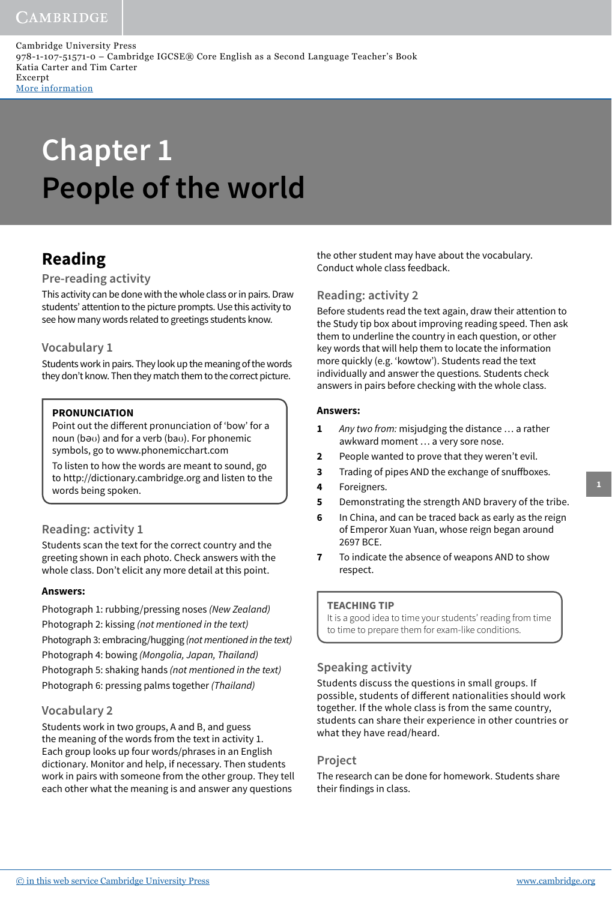Cambridge University Press 978-1-107-51571-0 – Cambridge IGCSE® Core English as a Second Language Teacher's Book Katia Carter and Tim Carter Excerpt More [information](http://www.cambridge.org/9781107515710)

# **Chapter 1 People of the world**

# **Reading**

### **Pre-reading activity**

This activity can be done with the whole class or in pairs. Draw students' attention to the picture prompts. Use this activity to see how many words related to greetings students know.

### **Vocabulary 1**

Students work in pairs. They look up the meaning of the words they don't know. Then they match them to the correct picture.

### **PRONUNCIATION**

Point out the different pronunciation of 'bow' for a noun (bƏʊ) and for a verb (baʊ). For phonemic symbols, go to www.phonemicchart.com

To listen to how the words are meant to sound, go to http://dictionary.cambridge.org and listen to the words being spoken.

### **Reading: activity 1**

Students scan the text for the correct country and the greeting shown in each photo. Check answers with the whole class. Don't elicit any more detail at this point.

### **Answers:**

Photograph 1: rubbing/pressing noses (New Zealand) Photograph 2: kissing (not mentioned in the text) Photograph 3: embracing/hugging (not mentioned in the text) Photograph 4: bowing (Mongolia, Japan, Thailand) Photograph 5: shaking hands (not mentioned in the text) Photograph 6: pressing palms together (Thailand)

### **Vocabulary 2**

Students work in two groups, A and B, and guess the meaning of the words from the text in activity 1. Each group looks up four words/phrases in an English dictionary. Monitor and help, if necessary. Then students work in pairs with someone from the other group. They tell each other what the meaning is and answer any questions

the other student may have about the vocabulary. Conduct whole class feedback.

### **Reading: activity 2**

Before students read the text again, draw their attention to the Study tip box about improving reading speed. Then ask them to underline the country in each question, or other key words that will help them to locate the information more quickly (e.g. 'kowtow'). Students read the text individually and answer the questions. Students check answers in pairs before checking with the whole class.

### **Answers:**

- **1** Any two from: misjudging the distance … a rather awkward moment … a very sore nose.
- **2** People wanted to prove that they weren't evil.
- **3** Trading of pipes AND the exchange of snuffboxes.
- **4** Foreigners.
- **5** Demonstrating the strength AND bravery of the tribe.
- **6** In China, and can be traced back as early as the reign of Emperor Xuan Yuan, whose reign began around 2697 BCE.
- **7** To indicate the absence of weapons AND to show respect.

### **TEACHING TIP**

It is a good idea to time your students' reading from time to time to prepare them for exam-like conditions.

### **Speaking activity**

Students discuss the questions in small groups. If possible, students of different nationalities should work together. If the whole class is from the same country, students can share their experience in other countries or what they have read/heard.

### **Project**

The research can be done for homework. Students share their findings in class.

**1**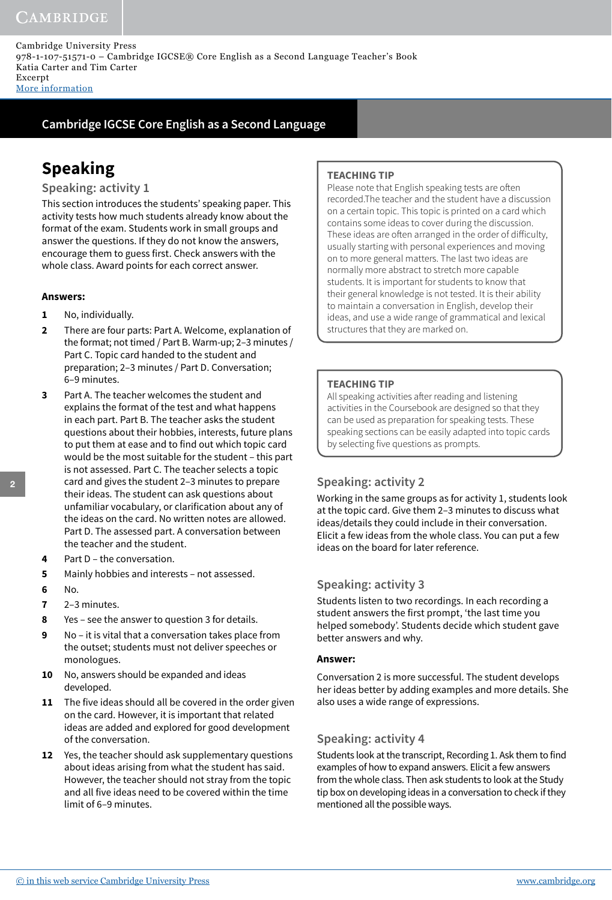Cambridge University Press 978-1-107-51571-0 – Cambridge IGCSE® Core English as a Second Language Teacher's Book Katia Carter and Tim Carter Excerpt More [information](http://www.cambridge.org/9781107515710)

**Cambridge IGCSE Core English as a Second Language**

# **Speaking**

### **Speaking: activity 1**

This section introduces the students' speaking paper. This activity tests how much students already know about the format of the exam. Students work in small groups and answer the questions. If they do not know the answers, encourage them to guess first. Check answers with the whole class. Award points for each correct answer.

### **Answers:**

- **1** No, individually.
- **2** There are four parts: Part A. Welcome, explanation of the format; not timed / Part B. Warm-up; 2–3 minutes / Part C. Topic card handed to the student and preparation; 2–3 minutes / Part D. Conversation; 6–9 minutes.
- **3** Part A. The teacher welcomes the student and explains the format of the test and what happens in each part. Part B. The teacher asks the student questions about their hobbies, interests, future plans to put them at ease and to find out which topic card would be the most suitable for the student – this part is not assessed. Part C. The teacher selects a topic card and gives the student 2–3 minutes to prepare their ideas. The student can ask questions about unfamiliar vocabulary, or clarification about any of the ideas on the card. No written notes are allowed. Part D. The assessed part. A conversation between the teacher and the student.
- **4** Part D the conversation.
- **5** Mainly hobbies and interests not assessed.
- **6** No.
- **7** 2–3 minutes.
- **8** Yes see the answer to question 3 for details.
- **9** No it is vital that a conversation takes place from the outset; students must not deliver speeches or monologues.
- **10** No, answers should be expanded and ideas developed.
- **11** The five ideas should all be covered in the order given on the card. However, it is important that related ideas are added and explored for good development of the conversation.
- **12** Yes, the teacher should ask supplementary questions about ideas arising from what the student has said. However, the teacher should not stray from the topic and all five ideas need to be covered within the time limit of 6–9 minutes.

### **TEACHING TIP**

Please note that English speaking tests are often recorded.The teacher and the student have a discussion on a certain topic. This topic is printed on a card which contains some ideas to cover during the discussion. These ideas are often arranged in the order of difficulty, usually starting with personal experiences and moving on to more general matters. The last two ideas are normally more abstract to stretch more capable students. It is important for students to know that their general knowledge is not tested. It is their ability to maintain a conversation in English, develop their ideas, and use a wide range of grammatical and lexical structures that they are marked on.

### **TEACHING TIP**

All speaking activities after reading and listening activities in the Coursebook are designed so that they can be used as preparation for speaking tests. These speaking sections can be easily adapted into topic cards by selecting five questions as prompts.

### **Speaking: activity 2**

Working in the same groups as for activity 1, students look at the topic card. Give them 2–3 minutes to discuss what ideas/details they could include in their conversation. Elicit a few ideas from the whole class. You can put a few ideas on the board for later reference.

### **Speaking: activity 3**

Students listen to two recordings. In each recording a student answers the first prompt, 'the last time you helped somebody'. Students decide which student gave better answers and why.

### **Answer:**

Conversation 2 is more successful. The student develops her ideas better by adding examples and more details. She also uses a wide range of expressions.

### **Speaking: activity 4**

Students look at the transcript, Recording 1. Ask them to find examples of how to expand answers. Elicit a few answers from the whole class. Then ask students to look at the Study tip box on developing ideas in a conversation to check if they mentioned all the possible ways.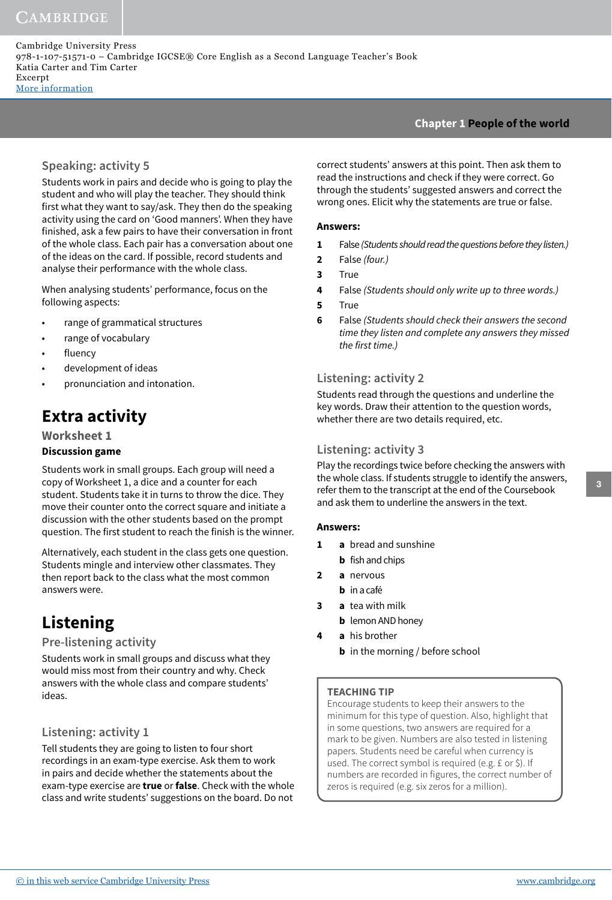Cambridge University Press 978-1-107-51571-0 – Cambridge IGCSE® Core English as a Second Language Teacher's Book Katia Carter and Tim Carter Excerpt More [information](http://www.cambridge.org/9781107515710)

### **Chapter 1 People of the world**

### **Speaking: activity 5**

Students work in pairs and decide who is going to play the student and who will play the teacher. They should think first what they want to say/ask. They then do the speaking activity using the card on 'Good manners'. When they have finished, ask a few pairs to have their conversation in front of the whole class. Each pair has a conversation about one of the ideas on the card. If possible, record students and analyse their performance with the whole class.

When analysing students' performance, focus on the following aspects:

- range of grammatical structures
- range of vocabulary
- fluency
- development of ideas
- pronunciation and intonation.

# **Extra activity**

**Worksheet 1 Discussion game**

Students work in small groups. Each group will need a copy of Worksheet 1, a dice and a counter for each student. Students take it in turns to throw the dice. They move their counter onto the correct square and initiate a discussion with the other students based on the prompt question. The first student to reach the finish is the winner.

Alternatively, each student in the class gets one question. Students mingle and interview other classmates. They then report back to the class what the most common answers were.

# **Listening**

### **Pre-listening activity**

Students work in small groups and discuss what they would miss most from their country and why. Check answers with the whole class and compare students' ideas.

### **Listening: activity 1**

Tell students they are going to listen to four short recordings in an exam-type exercise. Ask them to work in pairs and decide whether the statements about the exam-type exercise are **true** or **false**. Check with the whole class and write students' suggestions on the board. Do not correct students' answers at this point. Then ask them to read the instructions and check if they were correct. Go through the students' suggested answers and correct the wrong ones. Elicit why the statements are true or false.

### **Answers:**

- **1** False (Students should read the questions before they listen.)
- **2** False (four.)
- **3** True
- **4** False (Students should only write up to three words.)
- **5** True
- **6** False (Students should check their answers the second time they listen and complete any answers they missed the first time.)

### **Listening: activity 2**

Students read through the questions and underline the key words. Draw their attention to the question words, whether there are two details required, etc.

### **Listening: activity 3**

Play the recordings twice before checking the answers with the whole class. If students struggle to identify the answers, refer them to the transcript at the end of the Coursebook and ask them to underline the answers in the text.

### **Answers:**

- **1 a** bread and sunshine
- **b** fish and chips
- **2 a** nervous
	- **b** in a café
- **3 a** tea with milk
	- **b** lemon AND honey
- **4 a** his brother **b** in the morning / before school

### **TEACHING TIP**

Encourage students to keep their answers to the minimum for this type of question. Also, highlight that in some questions, two answers are required for a mark to be given. Numbers are also tested in listening papers. Students need be careful when currency is used. The correct symbol is required (e.g. £ or \$). If numbers are recorded in figures, the correct number of zeros is required (e.g. six zeros for a million).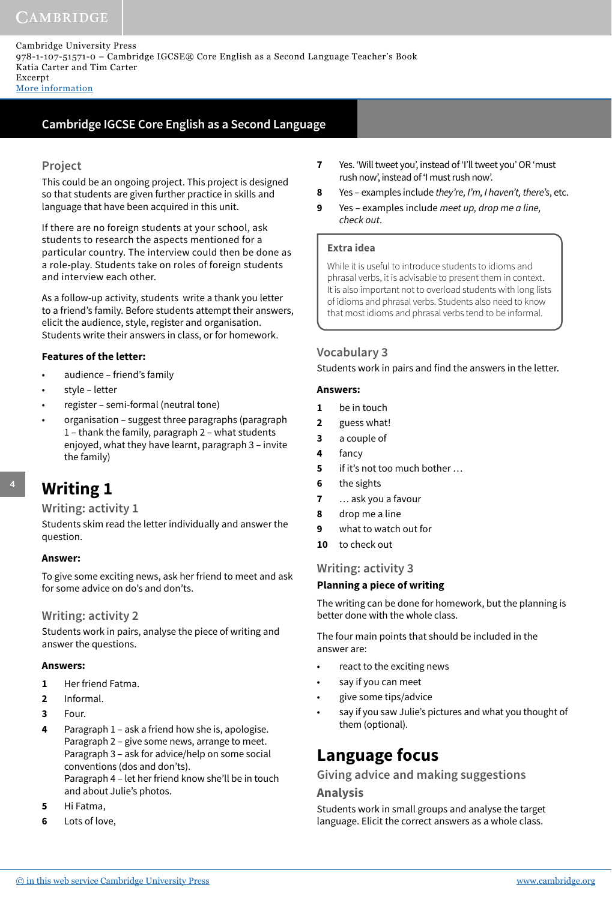Cambridge University Press 978-1-107-51571-0 – Cambridge IGCSE® Core English as a Second Language Teacher's Book Katia Carter and Tim Carter Excerpt

More [information](http://www.cambridge.org/9781107515710)

### **Cambridge IGCSE Core English as a Second Language**

### **Project**

This could be an ongoing project. This project is designed so that students are given further practice in skills and language that have been acquired in this unit.

If there are no foreign students at your school, ask students to research the aspects mentioned for a particular country. The interview could then be done as a role-play. Students take on roles of foreign students and interview each other.

As a follow-up activity, students write a thank you letter to a friend's family. Before students attempt their answers, elicit the audience, style, register and organisation. Students write their answers in class, or for homework.

### **Features of the letter:**

- audience friend's family
- style letter
- register semi-formal (neutral tone)
- organisation suggest three paragraphs (paragraph 1 – thank the family, paragraph 2 – what students enjoyed, what they have learnt, paragraph 3 – invite the family)

# **Writing 1**

### **Writing: activity 1**

Students skim read the letter individually and answer the question.

### **Answer:**

To give some exciting news, ask her friend to meet and ask for some advice on do's and don'ts.

### **Writing: activity 2**

Students work in pairs, analyse the piece of writing and answer the questions.

### **Answers:**

- **1** Her friend Fatma.
- **2** Informal.
- **3** Four.
- **4** Paragraph 1 ask a friend how she is, apologise. Paragraph 2 – give some news, arrange to meet. Paragraph 3 – ask for advice/help on some social conventions (dos and don'ts). Paragraph 4 – let her friend know she'll be in touch and about Julie's photos.
- **5** Hi Fatma,
- **6** Lots of love,
- **7** Yes. 'Will tweet you', instead of 'I'll tweet you' OR 'must rush now', instead of 'I must rush now'.
- **8** Yes examples include they're, I'm, I haven't, there's, etc.
- **9** Yes examples include meet up, drop me a line, check out.

### **Extra idea**

While it is useful to introduce students to idioms and phrasal verbs, it is advisable to present them in context. It is also important not to overload students with long lists of idioms and phrasal verbs. Students also need to know that most idioms and phrasal verbs tend to be informal.

### **Vocabulary 3**

Students work in pairs and find the answers in the letter.

### **Answers:**

- **1** be in touch
- **2** guess what!
- **3** a couple of
- **4** fancy
- **5** if it's not too much bother …
- **6** the sights
- **7** … ask you a favour
- **8** drop me a line
- **9** what to watch out for
- **10** to check out

### **Writing: activity 3**

### **Planning a piece of writing**

The writing can be done for homework, but the planning is better done with the whole class.

The four main points that should be included in the answer are:

- react to the exciting news
- say if you can meet
- give some tips/advice
- say if you saw Julie's pictures and what you thought of them (optional).

### **Language focus**

### **Giving advice and making suggestions**

### **Analysis**

Students work in small groups and analyse the target language. Elicit the correct answers as a whole class.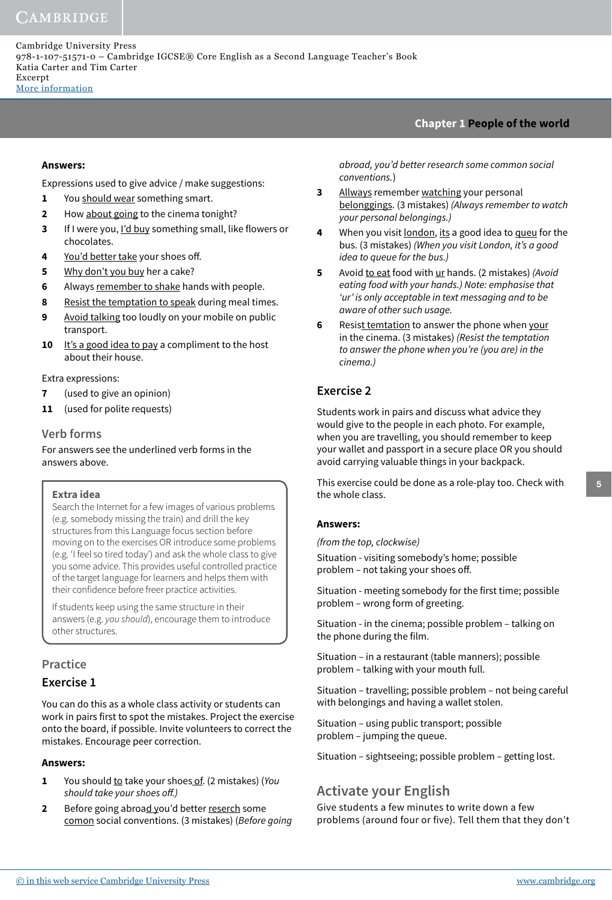### **Chapter 1 People of the world**

#### **Answers:**

Expressions used to give advice / make suggestions:

- **1** You should wear something smart.
- **2** How about going to the cinema tonight?
- **3** If I were you, I'd buy something small, like flowers or chocolates.
- **4** You'd better take your shoes off.
- **5** Why don't you buy her a cake?
- **6** Always remember to shake hands with people.
- **8** Resist the temptation to speak during meal times.
- **9** Avoid talking too loudly on your mobile on public transport.
- **10** It's a good idea to pay a compliment to the host about their house.

Extra expressions:

- **7** (used to give an opinion)
- **11** (used for polite requests)

### **Verb forms**

For answers see the underlined verb forms in the answers above.

#### **Extra idea**

Search the Internet for a few images of various problems (e.g. somebody missing the train) and drill the key structures from this Language focus section before moving on to the exercises OR introduce some problems (e.g. ʻI feel so tired today') and ask the whole class to give you some advice. This provides useful controlled practice of the target language for learners and helps them with their confidence before freer practice activities.

If students keep using the same structure in their answers (e.g. you should), encourage them to introduce other structures.

# **Practice**

### **Exercise 1**

You can do this as a whole class activity or students can work in pairs first to spot the mistakes. Project the exercise onto the board, if possible. Invite volunteers to correct the mistakes. Encourage peer correction.

#### **Answers:**

- **1** You should to take your shoes of. (2 mistakes) (You should take your shoes off.)
- **2** Before going abroad you'd better reserch some comon social conventions. (3 mistakes) (Before going

abroad, you'd better research some common social conventions.)

- **3** Allways remember watching your personal belonggings. (3 mistakes) (Always remember to watch your personal belongings.)
- **4** When you visit london, its a good idea to queu for the bus. (3 mistakes) (When you visit London, it's a good idea to queue for the bus.)
- **5** Avoid to eat food with ur hands. (2 mistakes) (Avoid eating food with your hands.) Note: emphasise that 'ur' is only acceptable in text messaging and to be aware of other such usage.
- **6** Resist temtation to answer the phone when your in the cinema. (3 mistakes) (Resist the temptation to answer the phone when you're (you are) in the cinema.)

### **Exercise 2**

Students work in pairs and discuss what advice they would give to the people in each photo. For example, when you are travelling, you should remember to keep your wallet and passport in a secure place OR you should avoid carrying valuable things in your backpack.

This exercise could be done as a role-play too. Check with the whole class.

#### **Answers:**

(from the top, clockwise)

Situation - visiting somebody's home; possible problem - not taking your shoes off.

Situation - meeting somebody for the first time; possible problem – wrong form of greeting.

Situation - in the cinema; possible problem – talking on the phone during the film.

Situation – in a restaurant (table manners); possible problem – talking with your mouth full.

Situation – travelling; possible problem – not being careful with belongings and having a wallet stolen.

Situation – using public transport; possible problem – jumping the queue.

Situation – sightseeing; possible problem – getting lost.

### **Activate your English**

Give students a few minutes to write down a few problems (around four or five). Tell them that they don't